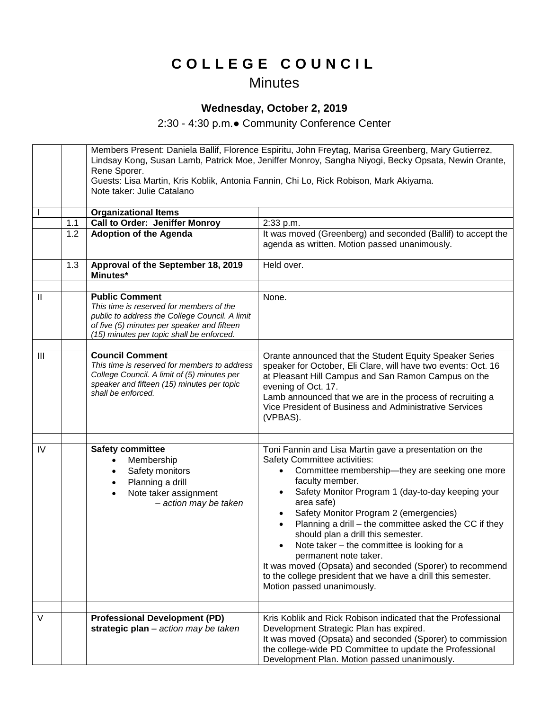## **C O L L E G E C O U N C I L**

## **Minutes**

## **Wednesday, October 2, 2019**

2:30 - 4:30 p.m.● Community Conference Center

|              |     | Members Present: Daniela Ballif, Florence Espiritu, John Freytag, Marisa Greenberg, Mary Gutierrez,<br>Lindsay Kong, Susan Lamb, Patrick Moe, Jeniffer Monroy, Sangha Niyogi, Becky Opsata, Newin Orante,<br>Rene Sporer.<br>Guests: Lisa Martin, Kris Koblik, Antonia Fannin, Chi Lo, Rick Robison, Mark Akiyama.<br>Note taker: Julie Catalano |                                                                                                                                                                                                                                                                                                                                                                                                                                                                                                                                                                                                                                                               |
|--------------|-----|--------------------------------------------------------------------------------------------------------------------------------------------------------------------------------------------------------------------------------------------------------------------------------------------------------------------------------------------------|---------------------------------------------------------------------------------------------------------------------------------------------------------------------------------------------------------------------------------------------------------------------------------------------------------------------------------------------------------------------------------------------------------------------------------------------------------------------------------------------------------------------------------------------------------------------------------------------------------------------------------------------------------------|
|              |     | <b>Organizational Items</b>                                                                                                                                                                                                                                                                                                                      |                                                                                                                                                                                                                                                                                                                                                                                                                                                                                                                                                                                                                                                               |
|              | 1.1 | <b>Call to Order: Jeniffer Monroy</b>                                                                                                                                                                                                                                                                                                            | 2:33 p.m.                                                                                                                                                                                                                                                                                                                                                                                                                                                                                                                                                                                                                                                     |
|              | 1.2 | <b>Adoption of the Agenda</b>                                                                                                                                                                                                                                                                                                                    | It was moved (Greenberg) and seconded (Ballif) to accept the<br>agenda as written. Motion passed unanimously.                                                                                                                                                                                                                                                                                                                                                                                                                                                                                                                                                 |
|              | 1.3 | Approval of the September 18, 2019<br>Minutes*                                                                                                                                                                                                                                                                                                   | Held over.                                                                                                                                                                                                                                                                                                                                                                                                                                                                                                                                                                                                                                                    |
|              |     |                                                                                                                                                                                                                                                                                                                                                  |                                                                                                                                                                                                                                                                                                                                                                                                                                                                                                                                                                                                                                                               |
| $\mathbf{I}$ |     | <b>Public Comment</b><br>This time is reserved for members of the<br>public to address the College Council. A limit<br>of five (5) minutes per speaker and fifteen<br>(15) minutes per topic shall be enforced.                                                                                                                                  | None.                                                                                                                                                                                                                                                                                                                                                                                                                                                                                                                                                                                                                                                         |
|              |     |                                                                                                                                                                                                                                                                                                                                                  |                                                                                                                                                                                                                                                                                                                                                                                                                                                                                                                                                                                                                                                               |
| III          |     | <b>Council Comment</b><br>This time is reserved for members to address<br>College Council. A limit of (5) minutes per<br>speaker and fifteen (15) minutes per topic<br>shall be enforced.                                                                                                                                                        | Orante announced that the Student Equity Speaker Series<br>speaker for October, Eli Clare, will have two events: Oct. 16<br>at Pleasant Hill Campus and San Ramon Campus on the<br>evening of Oct. 17.<br>Lamb announced that we are in the process of recruiting a<br>Vice President of Business and Administrative Services<br>(VPBAS).                                                                                                                                                                                                                                                                                                                     |
|              |     |                                                                                                                                                                                                                                                                                                                                                  |                                                                                                                                                                                                                                                                                                                                                                                                                                                                                                                                                                                                                                                               |
| IV           |     | <b>Safety committee</b><br>Membership<br>Safety monitors<br>Planning a drill<br>$\bullet$<br>Note taker assignment<br>$\bullet$<br>- action may be taken                                                                                                                                                                                         | Toni Fannin and Lisa Martin gave a presentation on the<br>Safety Committee activities:<br>Committee membership-they are seeking one more<br>$\bullet$<br>faculty member.<br>Safety Monitor Program 1 (day-to-day keeping your<br>$\bullet$<br>area safe)<br>Safety Monitor Program 2 (emergencies)<br>$\bullet$<br>Planning a drill – the committee asked the CC if they<br>$\bullet$<br>should plan a drill this semester.<br>Note taker - the committee is looking for a<br>permanent note taker.<br>It was moved (Opsata) and seconded (Sporer) to recommend<br>to the college president that we have a drill this semester.<br>Motion passed unanimously. |
| $\vee$       |     |                                                                                                                                                                                                                                                                                                                                                  | Kris Koblik and Rick Robison indicated that the Professional                                                                                                                                                                                                                                                                                                                                                                                                                                                                                                                                                                                                  |
|              |     | <b>Professional Development (PD)</b><br>strategic plan - action may be taken                                                                                                                                                                                                                                                                     | Development Strategic Plan has expired.<br>It was moved (Opsata) and seconded (Sporer) to commission<br>the college-wide PD Committee to update the Professional<br>Development Plan. Motion passed unanimously.                                                                                                                                                                                                                                                                                                                                                                                                                                              |